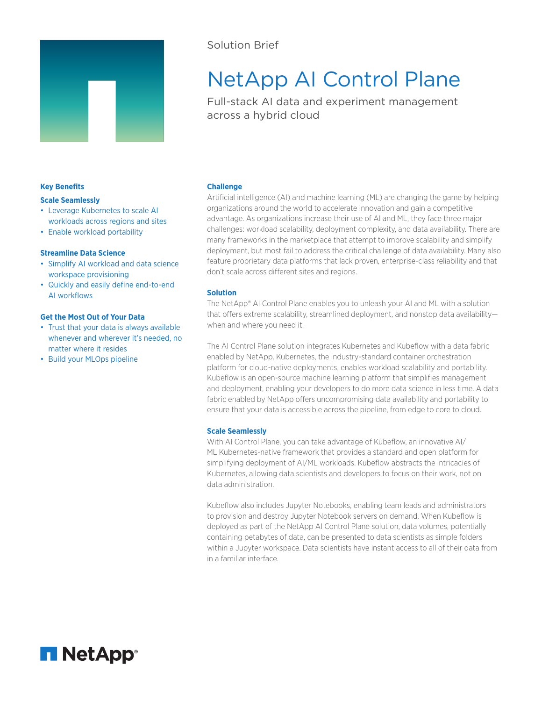

# Solution Brief

# NetApp AI Control Plane

Full-stack AI data and experiment management across a hybrid cloud

## **Key Benefits**

#### **Scale Seamlessly**

- Leverage Kubernetes to scale AI workloads across regions and sites
- Enable workload portability

# **Streamline Data Science**

- Simplify AI workload and data science workspace provisioning
- Quickly and easily define end-to-end AI workflows

# **Get the Most Out of Your Data**

- Trust that your data is always available whenever and wherever it's needed, no matter where it resides
- Build your MLOps pipeline

# **Challenge**

Artificial intelligence (AI) and machine learning (ML) are changing the game by helping organizations around the world to accelerate innovation and gain a competitive advantage. As organizations increase their use of AI and ML, they face three major challenges: workload scalability, deployment complexity, and data availability. There are many frameworks in the marketplace that attempt to improve scalability and simplify deployment, but most fail to address the critical challenge of data availability. Many also feature proprietary data platforms that lack proven, enterprise-class reliability and that don't scale across different sites and regions.

# **Solution**

The NetApp® AI Control Plane enables you to unleash your AI and ML with a solution that offers extreme scalability, streamlined deployment, and nonstop data availability when and where you need it.

The AI Control Plane solution integrates Kubernetes and Kubeflow with a data fabric enabled by NetApp. Kubernetes, the industry-standard container orchestration platform for cloud-native deployments, enables workload scalability and portability. Kubeflow is an open-source machine learning platform that simplifies management and deployment, enabling your developers to do more data science in less time. A data fabric enabled by NetApp offers uncompromising data availability and portability to ensure that your data is accessible across the pipeline, from edge to core to cloud.

## **Scale Seamlessly**

With AI Control Plane, you can take advantage of Kubeflow, an innovative AI/ ML Kubernetes-native framework that provides a standard and open platform for simplifying deployment of AI/ML workloads. Kubeflow abstracts the intricacies of Kubernetes, allowing data scientists and developers to focus on their work, not on data administration.

Kubeflow also includes Jupyter Notebooks, enabling team leads and administrators to provision and destroy Jupyter Notebook servers on demand. When Kubeflow is deployed as part of the NetApp AI Control Plane solution, data volumes, potentially containing petabytes of data, can be presented to data scientists as simple folders within a Jupyter workspace. Data scientists have instant access to all of their data from in a familiar interface.